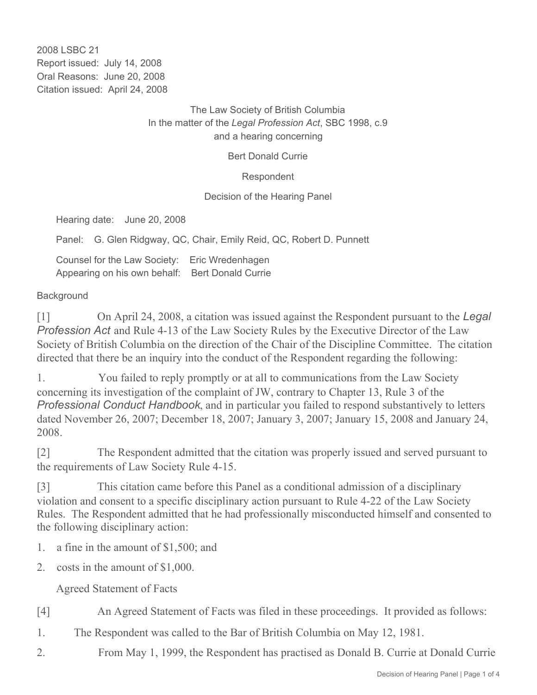2008 LSBC 21 Report issued: July 14, 2008 Oral Reasons: June 20, 2008 Citation issued: April 24, 2008

> The Law Society of British Columbia In the matter of the *Legal Profession Act*, SBC 1998, c.9 and a hearing concerning

> > Bert Donald Currie

Respondent

Decision of the Hearing Panel

Hearing date: June 20, 2008

Panel: G. Glen Ridgway, QC, Chair, Emily Reid, QC, Robert D. Punnett

Counsel for the Law Society: Eric Wredenhagen Appearing on his own behalf: Bert Donald Currie

## **Background**

[1] On April 24, 2008, a citation was issued against the Respondent pursuant to the *Legal Profession Act* and Rule 4-13 of the Law Society Rules by the Executive Director of the Law Society of British Columbia on the direction of the Chair of the Discipline Committee. The citation directed that there be an inquiry into the conduct of the Respondent regarding the following:

1. You failed to reply promptly or at all to communications from the Law Society concerning its investigation of the complaint of JW, contrary to Chapter 13, Rule 3 of the *Professional Conduct Handbook*, and in particular you failed to respond substantively to letters dated November 26, 2007; December 18, 2007; January 3, 2007; January 15, 2008 and January 24, 2008.

[2] The Respondent admitted that the citation was properly issued and served pursuant to the requirements of Law Society Rule 4-15.

[3] This citation came before this Panel as a conditional admission of a disciplinary violation and consent to a specific disciplinary action pursuant to Rule 4-22 of the Law Society Rules. The Respondent admitted that he had professionally misconducted himself and consented to the following disciplinary action:

- 1. a fine in the amount of \$1,500; and
- 2. costs in the amount of \$1,000.

Agreed Statement of Facts

[4] An Agreed Statement of Facts was filed in these proceedings. It provided as follows:

- 1. The Respondent was called to the Bar of British Columbia on May 12, 1981.
- 2. From May 1, 1999, the Respondent has practised as Donald B. Currie at Donald Currie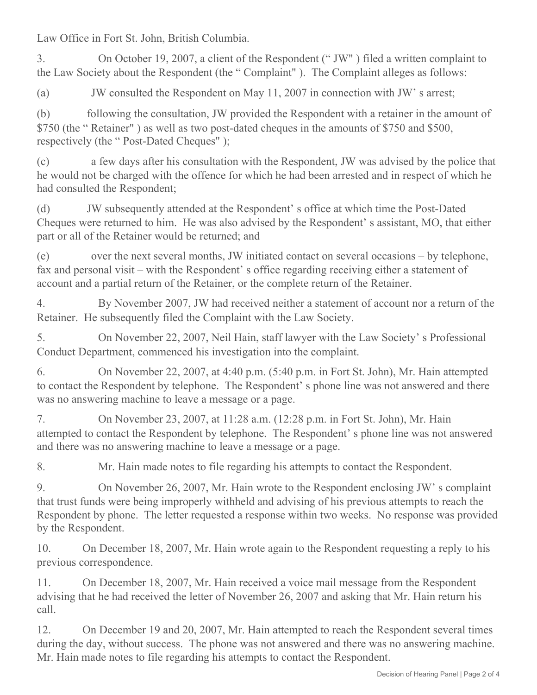Law Office in Fort St. John, British Columbia.

3. On October 19, 2007, a client of the Respondent (" JW" ) filed a written complaint to the Law Society about the Respondent (the " Complaint" ). The Complaint alleges as follows:

(a) JW consulted the Respondent on May 11, 2007 in connection with JW' s arrest;

(b) following the consultation, JW provided the Respondent with a retainer in the amount of \$750 (the " Retainer" ) as well as two post-dated cheques in the amounts of \$750 and \$500, respectively (the " Post-Dated Cheques" );

(c) a few days after his consultation with the Respondent, JW was advised by the police that he would not be charged with the offence for which he had been arrested and in respect of which he had consulted the Respondent;

(d) JW subsequently attended at the Respondent' s office at which time the Post-Dated Cheques were returned to him. He was also advised by the Respondent' s assistant, MO, that either part or all of the Retainer would be returned; and

(e) over the next several months, JW initiated contact on several occasions – by telephone, fax and personal visit – with the Respondent' s office regarding receiving either a statement of account and a partial return of the Retainer, or the complete return of the Retainer.

4. By November 2007, JW had received neither a statement of account nor a return of the Retainer. He subsequently filed the Complaint with the Law Society.

5. On November 22, 2007, Neil Hain, staff lawyer with the Law Society' s Professional Conduct Department, commenced his investigation into the complaint.

6. On November 22, 2007, at 4:40 p.m. (5:40 p.m. in Fort St. John), Mr. Hain attempted to contact the Respondent by telephone. The Respondent' s phone line was not answered and there was no answering machine to leave a message or a page.

7. On November 23, 2007, at 11:28 a.m. (12:28 p.m. in Fort St. John), Mr. Hain attempted to contact the Respondent by telephone. The Respondent' s phone line was not answered and there was no answering machine to leave a message or a page.

8. Mr. Hain made notes to file regarding his attempts to contact the Respondent.

9. On November 26, 2007, Mr. Hain wrote to the Respondent enclosing JW' s complaint that trust funds were being improperly withheld and advising of his previous attempts to reach the Respondent by phone. The letter requested a response within two weeks. No response was provided by the Respondent.

10. On December 18, 2007, Mr. Hain wrote again to the Respondent requesting a reply to his previous correspondence.

11. On December 18, 2007, Mr. Hain received a voice mail message from the Respondent advising that he had received the letter of November 26, 2007 and asking that Mr. Hain return his call.

12. On December 19 and 20, 2007, Mr. Hain attempted to reach the Respondent several times during the day, without success. The phone was not answered and there was no answering machine. Mr. Hain made notes to file regarding his attempts to contact the Respondent.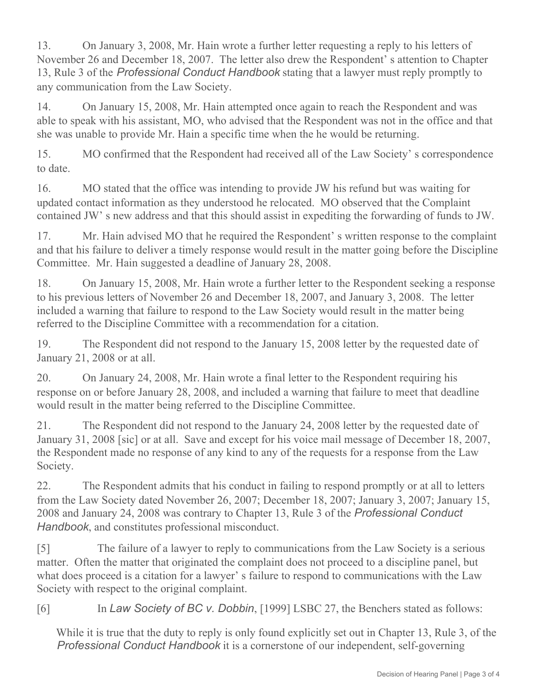13. On January 3, 2008, Mr. Hain wrote a further letter requesting a reply to his letters of November 26 and December 18, 2007. The letter also drew the Respondent' s attention to Chapter 13, Rule 3 of the *Professional Conduct Handbook* stating that a lawyer must reply promptly to any communication from the Law Society.

14. On January 15, 2008, Mr. Hain attempted once again to reach the Respondent and was able to speak with his assistant, MO, who advised that the Respondent was not in the office and that she was unable to provide Mr. Hain a specific time when the he would be returning.

15. MO confirmed that the Respondent had received all of the Law Society' s correspondence to date.

16. MO stated that the office was intending to provide JW his refund but was waiting for updated contact information as they understood he relocated. MO observed that the Complaint contained JW' s new address and that this should assist in expediting the forwarding of funds to JW.

17. Mr. Hain advised MO that he required the Respondent's written response to the complaint and that his failure to deliver a timely response would result in the matter going before the Discipline Committee. Mr. Hain suggested a deadline of January 28, 2008.

18. On January 15, 2008, Mr. Hain wrote a further letter to the Respondent seeking a response to his previous letters of November 26 and December 18, 2007, and January 3, 2008. The letter included a warning that failure to respond to the Law Society would result in the matter being referred to the Discipline Committee with a recommendation for a citation.

19. The Respondent did not respond to the January 15, 2008 letter by the requested date of January 21, 2008 or at all.

20. On January 24, 2008, Mr. Hain wrote a final letter to the Respondent requiring his response on or before January 28, 2008, and included a warning that failure to meet that deadline would result in the matter being referred to the Discipline Committee.

21. The Respondent did not respond to the January 24, 2008 letter by the requested date of January 31, 2008 [sic] or at all. Save and except for his voice mail message of December 18, 2007, the Respondent made no response of any kind to any of the requests for a response from the Law Society.

22. The Respondent admits that his conduct in failing to respond promptly or at all to letters from the Law Society dated November 26, 2007; December 18, 2007; January 3, 2007; January 15, 2008 and January 24, 2008 was contrary to Chapter 13, Rule 3 of the *Professional Conduct Handbook*, and constitutes professional misconduct.

[5] The failure of a lawyer to reply to communications from the Law Society is a serious matter. Often the matter that originated the complaint does not proceed to a discipline panel, but what does proceed is a citation for a lawyer' s failure to respond to communications with the Law Society with respect to the original complaint.

[6] In *Law Society of BC v. Dobbin*, [1999] LSBC 27, the Benchers stated as follows:

While it is true that the duty to reply is only found explicitly set out in Chapter 13, Rule 3, of the *Professional Conduct Handbook* it is a cornerstone of our independent, self-governing